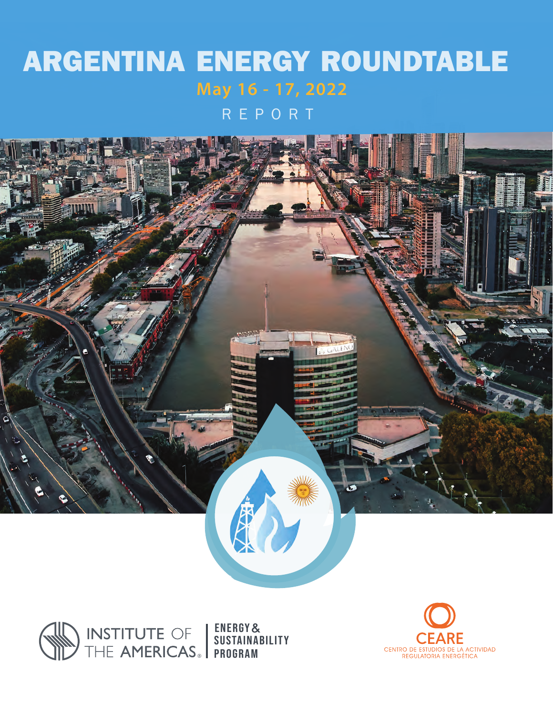# ARGENTINA ENERGY ROUNDTABLE **May 16 - 17, 2022**

REPORT



Energy& sustainability program

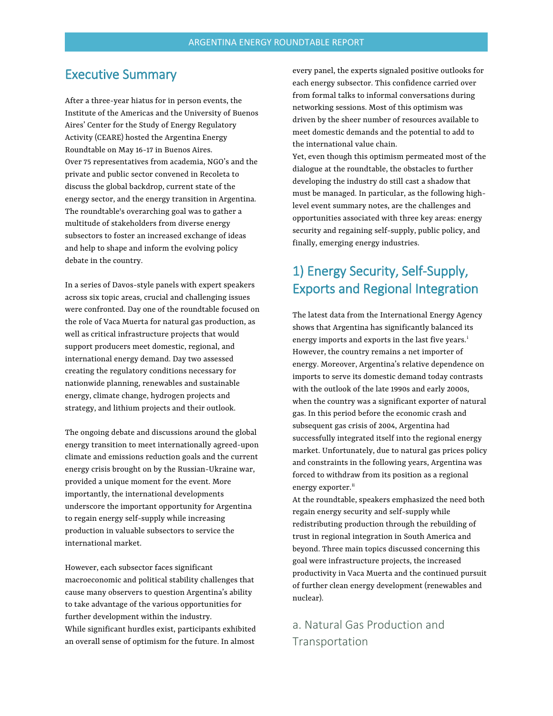### Executive Summary

After a three-year hiatus for in person events, the Institute of the Americas and the University of Buenos Aires' Center for the Study of Energy Regulatory Activity (CEARE) hosted the Argentina Energy Roundtable on May 16-17 in Buenos Aires. Over 75 representatives from academia, NGO's and the private and public sector convened in Recoleta to discuss the global backdrop, current state of the energy sector, and the energy transition in Argentina. The roundtable's overarching goal was to gather a multitude of stakeholders from diverse energy subsectors to foster an increased exchange of ideas and help to shape and inform the evolving policy debate in the country.

In a series of Davos-style panels with expert speakers across six topic areas, crucial and challenging issues were confronted. Day one of the roundtable focused on the role of Vaca Muerta for natural gas production, as well as critical infrastructure projects that would support producers meet domestic, regional, and international energy demand. Day two assessed creating the regulatory conditions necessary for nationwide planning, renewables and sustainable energy, climate change, hydrogen projects and strategy, and lithium projects and their outlook.

The ongoing debate and discussions around the global energy transition to meet internationally agreed-upon climate and emissions reduction goals and the current energy crisis brought on by the Russian-Ukraine war, provided a unique moment for the event. More importantly, the international developments underscore the important opportunity for Argentina to regain energy self-supply while increasing production in valuable subsectors to service the international market.

However, each subsector faces significant macroeconomic and political stability challenges that cause many observers to question Argentina's ability to take advantage of the various opportunities for further development within the industry. While significant hurdles exist, participants exhibited an overall sense of optimism for the future. In almost

every panel, the experts signaled positive outlooks for each energy subsector. This confidence carried over from formal talks to informal conversations during networking sessions. Most of this optimism was driven by the sheer number of resources available to meet domestic demands and the potential to add to the international value chain.

Yet, even though this optimism permeated most of the dialogue at the roundtable, the obstacles to further developing the industry do still cast a shadow that must be managed. In particular, as the following highlevel event summary notes, are the challenges and opportunities associated with three key areas: energy security and regaining self-supply, public policy, and finally, emerging energy industries.

# 1) Energy Security, Self-Supply, Exports and Regional Integration

The latest data from the International Energy Agency shows that Argentina has significantly balanced its energy [i](#page-7-0)mports and exports in the last five years.<sup>i</sup> However, the country remains a net importer of energy. Moreover, Argentina's relative dependence on imports to serve its domestic demand today contrasts with the outlook of the late 1990s and early 2000s, when the country was a significant exporter of natural gas. In this period before the economic crash and subsequent gas crisis of 2004, Argentina had successfully integrated itself into the regional energy market. Unfortunately, due to natural gas prices policy and constraints in the following years, Argentina was forced to withdraw from its position as a regional energy exporter.<sup>[ii](#page-7-1)</sup>

At the roundtable, speakers emphasized the need both regain energy security and self-supply while redistributing production through the rebuilding of trust in regional integration in South America and beyond. Three main topics discussed concerning this goal were infrastructure projects, the increased productivity in Vaca Muerta and the continued pursuit of further clean energy development (renewables and nuclear).

a. Natural Gas Production and **Transportation**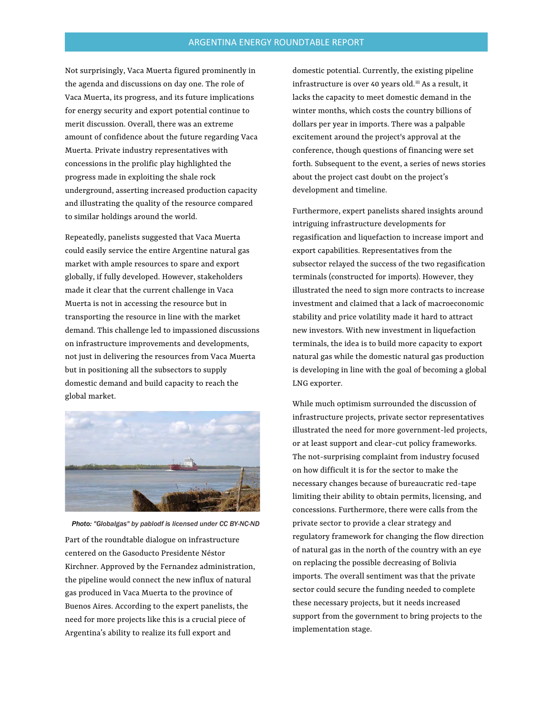Not surprisingly, Vaca Muerta figured prominently in the agenda and discussions on day one. The role of Vaca Muerta, its progress, and its future implications for energy security and export potential continue to merit discussion. Overall, there was an extreme amount of confidence about the future regarding Vaca Muerta. Private industry representatives with concessions in the prolific play highlighted the progress made in exploiting the shale rock underground, asserting increased production capacity and illustrating the quality of the resource compared to similar holdings around the world.

Repeatedly, panelists suggested that Vaca Muerta could easily service the entire Argentine natural gas market with ample resources to spare and export globally, if fully developed. However, stakeholders made it clear that the current challenge in Vaca Muerta is not in accessing the resource but in transporting the resource in line with the market demand. This challenge led to impassioned discussions on infrastructure improvements and developments, not just in delivering the resources from Vaca Muerta but in positioning all the subsectors to supply domestic demand and build capacity to reach the global market.



*Photo: "Globalgas" by pablodf is licensed under CC BY-NC-ND* 

Part of the roundtable dialogue on infrastructure centered on the Gasoducto Presidente Néstor Kirchner. Approved by the Fernandez administration, the pipeline would connect the new influx of natural gas produced in Vaca Muerta to the province of Buenos Aires. According to the expert panelists, the need for more projects like this is a crucial piece of Argentina's ability to realize its full export and

domestic potential. Currently, the existing pipeline infrastructure is over 40 years old.<sup>[iii](#page-7-0)</sup> As a result, it lacks the capacity to meet domestic demand in the winter months, which costs the country billions of dollars per year in imports. There was a palpable excitement around the project's approval at the conference, though questions of financing were set forth. Subsequent to the event, a series of news stories about the project cast doubt on the project's development and timeline.

Furthermore, expert panelists shared insights around intriguing infrastructure developments for regasification and liquefaction to increase import and export capabilities. Representatives from the subsector relayed the success of the two regasification terminals (constructed for imports). However, they illustrated the need to sign more contracts to increase investment and claimed that a lack of macroeconomic stability and price volatility made it hard to attract new investors. With new investment in liquefaction terminals, the idea is to build more capacity to export natural gas while the domestic natural gas production is developing in line with the goal of becoming a global LNG exporter.

While much optimism surrounded the discussion of infrastructure projects, private sector representatives illustrated the need for more government-led projects, or at least support and clear-cut policy frameworks. The not-surprising complaint from industry focused on how difficult it is for the sector to make the necessary changes because of bureaucratic red-tape limiting their ability to obtain permits, licensing, and concessions. Furthermore, there were calls from the private sector to provide a clear strategy and regulatory framework for changing the flow direction of natural gas in the north of the country with an eye on replacing the possible decreasing of Bolivia imports. The overall sentiment was that the private sector could secure the funding needed to complete these necessary projects, but it needs increased support from the government to bring projects to the implementation stage.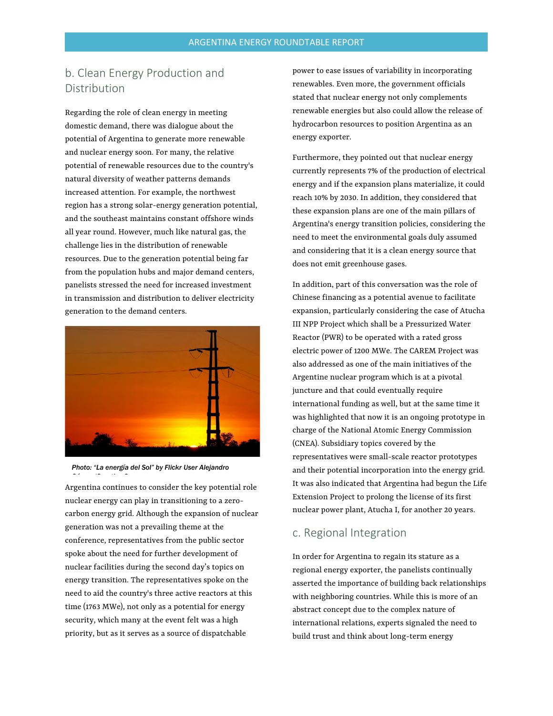### b. Clean Energy Production and Distribution

Regarding the role of clean energy in meeting domestic demand, there was dialogue about the potential of Argentina to generate more renewable and nuclear energy soon. For many, the relative potential of renewable resources due to the country's natural diversity of weather patterns demands increased attention. For example, the northwest region has a strong solar-energy generation potential, and the southeast maintains constant offshore winds all year round. However, much like natural gas, the challenge lies in the distribution of renewable resources. Due to the generation potential being far from the population hubs and major demand centers, panelists stressed the need for increased investment in transmission and distribution to deliver electricity generation to the demand centers.





*Gó /C ti C*

Argentina continues to consider the key potential role nuclear energy can play in transitioning to a zerocarbon energy grid. Although the expansion of nuclear generation was not a prevailing theme at the conference, representatives from the public sector spoke about the need for further development of nuclear facilities during the second day's topics on energy transition. The representatives spoke on the need to aid the country's three active reactors at this time (1763 MWe), not only as a potential for energy security, which many at the event felt was a high priority, but as it serves as a source of dispatchable

power to ease issues of variability in incorporating renewables. Even more, the government officials stated that nuclear energy not only complements renewable energies but also could allow the release of hydrocarbon resources to position Argentina as an energy exporter.

Furthermore, they pointed out that nuclear energy currently represents 7% of the production of electrical energy and if the expansion plans materialize, it could reach 10% by 2030. In addition, they considered that these expansion plans are one of the main pillars of Argentina's energy transition policies, considering the need to meet the environmental goals duly assumed and considering that it is a clean energy source that does not emit greenhouse gases.

In addition, part of this conversation was the role of Chinese financing as a potential avenue to facilitate expansion, particularly considering the case of Atucha III NPP Project which shall be a Pressurized Water Reactor (PWR) to be operated with a rated gross electric power of 1200 MWe. The CAREM Project was also addressed as one of the main initiatives of the Argentine nuclear program which is at a pivotal juncture and that could eventually require international funding as well, but at the same time it was highlighted that now it is an ongoing prototype in charge of the National Atomic Energy Commission (CNEA). Subsidiary topics covered by the representatives were small-scale reactor prototypes and their potential incorporation into the energy grid. It was also indicated that Argentina had begun the Life Extension Project to prolong the license of its first nuclear power plant, Atucha I, for another 20 years.

### c. Regional Integration

In order for Argentina to regain its stature as a regional energy exporter, the panelists continually asserted the importance of building back relationships with neighboring countries. While this is more of an abstract concept due to the complex nature of international relations, experts signaled the need to build trust and think about long-term energy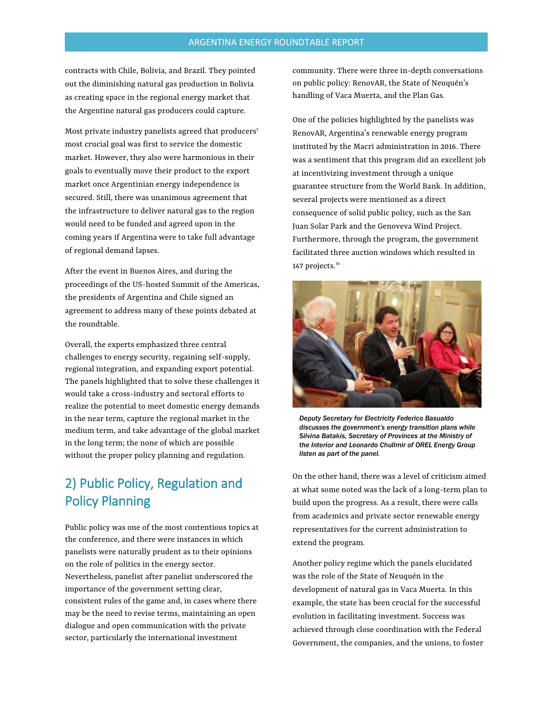contracts with Chile, Bolivia, and Brazil. They pointed out the diminishing natural gas production in Bolivia as creating space in the regional energy market that the Argentine natural gas producers could capture.

Most private industry panelists agreed that producers' most crucial goal was first to service the domestic market. However, they also were harmonious in their goals to eventually move their product to the export market once Argentinian energy independence is secured. Still, there was unanimous agreement that the infrastructure to deliver natural gas to the region would need to be funded and agreed upon in the coming years if Argentina were to take full advantage of regional demand lapses.

After the event in Buenos Aires, and during the proceedings of the US-hosted Summit of the Americas, the presidents of Argentina and Chile signed an agreement to address many of these points debated at the roundtable.

Overall, the experts emphasized three central challenges to energy security, regaining self-supply, regional integration, and expanding export potential. The panels highlighted that to solve these challenges it would take a cross-industry and sectoral efforts to realize the potential to meet domestic energy demands in the near term, capture the regional market in the medium term, and take advantage of the global market in the long term; the none of which are possible without the proper policy planning and regulation.

# 2) Public Policy, Regulation and Policy Planning

Public policy was one of the most contentious topics at the conference, and there were instances in which panelists were naturally prudent as to their opinions on the role of politics in the energy sector. Nevertheless, panelist after panelist underscored the importance of the government setting clear, consistent rules of the game and, in cases where there may be the need to revise terms, maintaining an open dialogue and open communication with the private sector, particularly the international investment

community. There were three in-depth conversations on public policy: RenovAR, the State of Neuquén's handling of Vaca Muerta, and the Plan Gas.

One of the policies highlighted by the panelists was RenovAR, Argentina's renewable energy program instituted by the Macri administration in 2016. There was a sentiment that this program did an excellent job at incentivizing investment through a unique guarantee structure from the World Bank. In addition, several projects were mentioned as a direct consequence of solid public policy, such as the San Juan Solar Park and the Genoveva Wind Project. Furthermore, through the program, the government facilitated three auction windows which resulted in 147 projects.<sup>[iv](#page-7-1)</sup>



*Deputy Secretary for Electricity Federico Basualdo discusses the government's energy transition plans while Silvina Batakis, Secretary of Provinces at the Ministry of the Interior and Leonardo Chullmir of OREL Energy Group listen as part of the panel.* 

On the other hand, there was a level of criticism aimed at what some noted was the lack of a long-term plan to build upon the progress. As a result, there were calls from academics and private sector renewable energy representatives for the current administration to extend the program.

Another policy regime which the panels elucidated was the role of the State of Neuquén in the development of natural gas in Vaca Muerta. In this example, the state has been crucial for the successful evolution in facilitating investment. Success was achieved through close coordination with the Federal Government, the companies, and the unions, to foster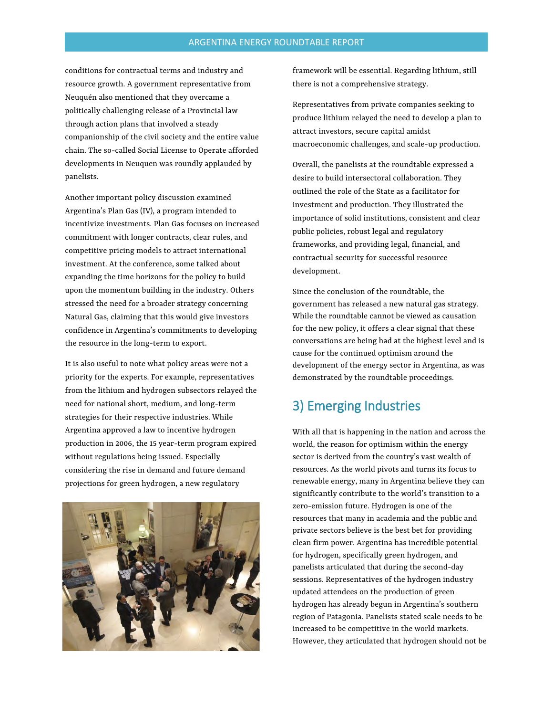conditions for contractual terms and industry and resource growth. A government representative from Neuquén also mentioned that they overcame a politically challenging release of a Provincial law through action plans that involved a steady companionship of the civil society and the entire value chain. The so-called Social License to Operate afforded developments in Neuquen was roundly applauded by panelists.

Another important policy discussion examined Argentina's Plan Gas (IV), a program intended to incentivize investments. Plan Gas focuses on increased commitment with longer contracts, clear rules, and competitive pricing models to attract international investment. At the conference, some talked about expanding the time horizons for the policy to build upon the momentum building in the industry. Others stressed the need for a broader strategy concerning Natural Gas, claiming that this would give investors confidence in Argentina's commitments to developing the resource in the long-term to export.

It is also useful to note what policy areas were not a priority for the experts. For example, representatives from the lithium and hydrogen subsectors relayed the need for national short, medium, and long-term strategies for their respective industries. While Argentina approved a law to incentive hydrogen production in 2006, the 15 year-term program expired without regulations being issued. Especially considering the rise in demand and future demand projections for green hydrogen, a new regulatory



framework will be essential. Regarding lithium, still there is not a comprehensive strategy.

Representatives from private companies seeking to produce lithium relayed the need to develop a plan to attract investors, secure capital amidst macroeconomic challenges, and scale-up production.

Overall, the panelists at the roundtable expressed a desire to build intersectoral collaboration. They outlined the role of the State as a facilitator for investment and production. They illustrated the importance of solid institutions, consistent and clear public policies, robust legal and regulatory frameworks, and providing legal, financial, and contractual security for successful resource development.

Since the conclusion of the roundtable, the government has released a new natural gas strategy. While the roundtable cannot be viewed as causation for the new policy, it offers a clear signal that these conversations are being had at the highest level and is cause for the continued optimism around the development of the energy sector in Argentina, as was demonstrated by the roundtable proceedings.

# 3) Emerging Industries

With all that is happening in the nation and across the world, the reason for optimism within the energy sector is derived from the country's vast wealth of resources. As the world pivots and turns its focus to renewable energy, many in Argentina believe they can significantly contribute to the world's transition to a zero-emission future. Hydrogen is one of the resources that many in academia and the public and private sectors believe is the best bet for providing clean firm power. Argentina has incredible potential for hydrogen, specifically green hydrogen, and panelists articulated that during the second-day sessions. Representatives of the hydrogen industry updated attendees on the production of green hydrogen has already begun in Argentina's southern region of Patagonia. Panelists stated scale needs to be increased to be competitive in the world markets. However, they articulated that hydrogen should not be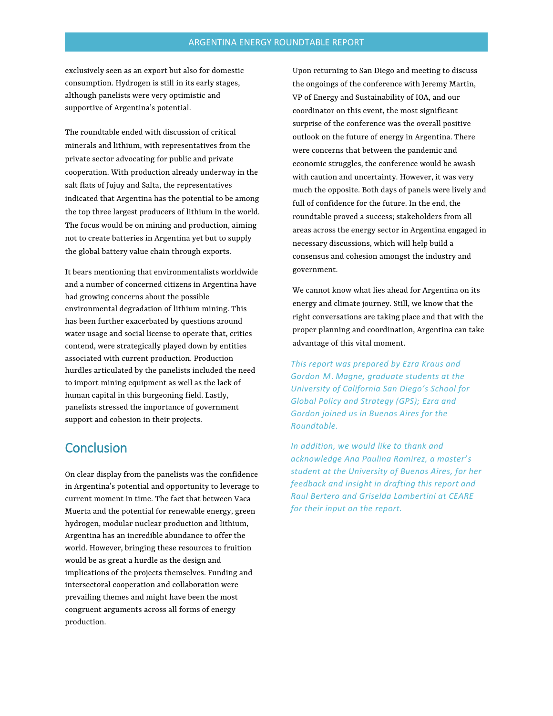exclusively seen as an export but also for domestic consumption. Hydrogen is still in its early stages, although panelists were very optimistic and supportive of Argentina's potential.

The roundtable ended with discussion of critical minerals and lithium, with representatives from the private sector advocating for public and private cooperation. With production already underway in the salt flats of Jujuy and Salta, the representatives indicated that Argentina has the potential to be among the top three largest producers of lithium in the world. The focus would be on mining and production, aiming not to create batteries in Argentina yet but to supply the global battery value chain through exports.

It bears mentioning that environmentalists worldwide and a number of concerned citizens in Argentina have had growing concerns about the possible environmental degradation of lithium mining. This has been further exacerbated by questions around water usage and social license to operate that, critics contend, were strategically played down by entities associated with current production. Production hurdles articulated by the panelists included the need to import mining equipment as well as the lack of human capital in this burgeoning field. Lastly, panelists stressed the importance of government support and cohesion in their projects.

## **Conclusion**

On clear display from the panelists was the confidence in Argentina's potential and opportunity to leverage to current moment in time. The fact that between Vaca Muerta and the potential for renewable energy, green hydrogen, modular nuclear production and lithium, Argentina has an incredible abundance to offer the world. However, bringing these resources to fruition would be as great a hurdle as the design and implications of the projects themselves. Funding and intersectoral cooperation and collaboration were prevailing themes and might have been the most congruent arguments across all forms of energy production.

Upon returning to San Diego and meeting to discuss the ongoings of the conference with Jeremy Martin, VP of Energy and Sustainability of IOA, and our coordinator on this event, the most significant surprise of the conference was the overall positive outlook on the future of energy in Argentina. There were concerns that between the pandemic and economic struggles, the conference would be awash with caution and uncertainty. However, it was very much the opposite. Both days of panels were lively and full of confidence for the future. In the end, the roundtable proved a success; stakeholders from all areas across the energy sector in Argentina engaged in necessary discussions, which will help build a consensus and cohesion amongst the industry and government.

We cannot know what lies ahead for Argentina on its energy and climate journey. Still, we know that the right conversations are taking place and that with the proper planning and coordination, Argentina can take advantage of this vital moment.

*This report was prepared by Ezra Kraus and*  **Gordon M. Magne, graduate students at the** *University of California San Diego's School for Global Policy and Strategy (GPS); Ezra and Gordon joined us in Buenos Aires for the Roundtable.*

*In addition, we would like to thank and acknowledge Ana Paulina Ramirez, a master's student at the University of Buenos Aires, for her feedback and insight in drafting this report and Raul Bertero and Griselda Lambertini at CEARE for their input on the report.*